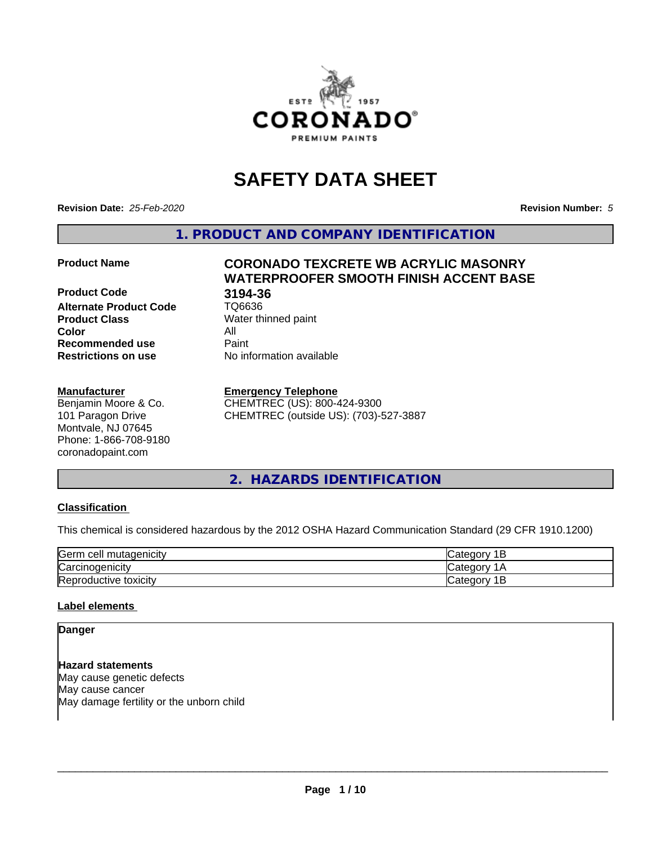

# **SAFETY DATA SHEET**

**Revision Date:** *25-Feb-2020* **Revision Number:** *5*

**1. PRODUCT AND COMPANY IDENTIFICATION**

**Product Code 618 194-36<br>Alternate Product Code 61 106636 Alternate Product Code Product Class** Water thinned paint<br> **Color** All **Color** All **Recommended use Caint Restrictions on use** No information available

## **Manufacturer**

Benjamin Moore & Co. 101 Paragon Drive Montvale, NJ 07645 Phone: 1-866-708-9180 coronadopaint.com

# **Product Name CORONADO TEXCRETE WB ACRYLIC MASONRY WATERPROOFER SMOOTH FINISH ACCENT BASE**

#### **Emergency Telephone**

CHEMTREC (US): 800-424-9300 CHEMTREC (outside US): (703)-527-3887

# **2. HAZARDS IDENTIFICATION**

## **Classification**

This chemical is considered hazardous by the 2012 OSHA Hazard Communication Standard (29 CFR 1910.1200)

| <b>Germ</b><br>ı cell mutaqenicitv | ∵ategor<br>-    |
|------------------------------------|-----------------|
| ∽<br>Carcinogenicity               | ategor: ت       |
| Reproductive toxicity              | ategorٽ (<br>ــ |

## **Label elements**

**Danger**

**Hazard statements** May cause genetic defects May cause cancer May damage fertility or the unborn child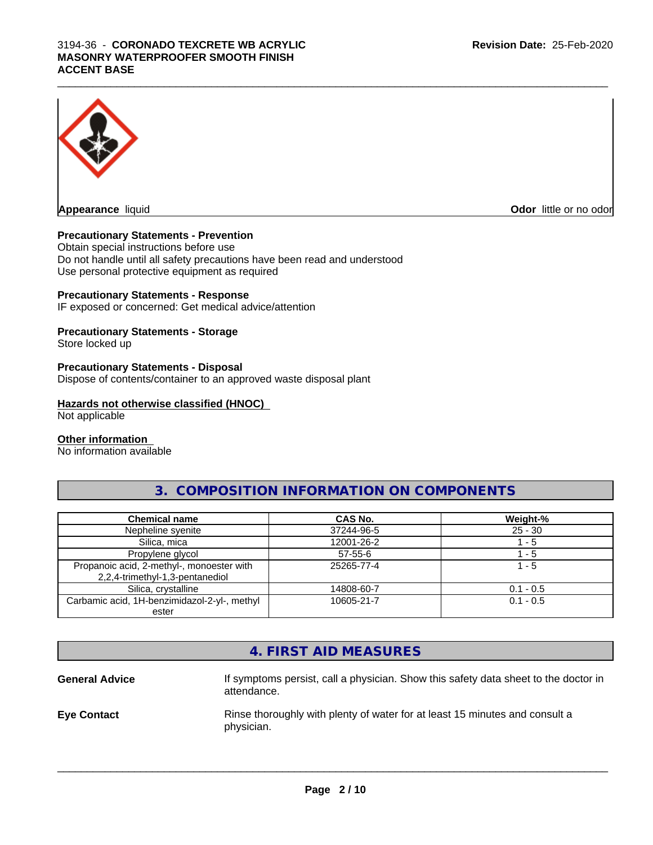#### $\_$  ,  $\_$  ,  $\_$  ,  $\_$  ,  $\_$  ,  $\_$  ,  $\_$  ,  $\_$  ,  $\_$  ,  $\_$  ,  $\_$  ,  $\_$  ,  $\_$  ,  $\_$  ,  $\_$  ,  $\_$  ,  $\_$  ,  $\_$  ,  $\_$  ,  $\_$  ,  $\_$  ,  $\_$  ,  $\_$  ,  $\_$  ,  $\_$  ,  $\_$  ,  $\_$  ,  $\_$  ,  $\_$  ,  $\_$  ,  $\_$  ,  $\_$  ,  $\_$  ,  $\_$  ,  $\_$  ,  $\_$  ,  $\_$  , 3194-36 - **CORONADO TEXCRETE WB ACRYLIC MASONRY WATERPROOFER SMOOTH FINISH ACCENT BASE**



**Appearance** liquid **Odor 11** and 11 and 12 and 12 and 13 and 13 and 13 and 13 and 13 and 13 and 13 and 13 and 13 and 13 and 13 and 13 and 13 and 13 and 13 and 13 and 13 and 13 and 13 and 13 and 13 and 13 and 13 and 13 and

# **Precautionary Statements - Prevention**

Obtain special instructions before use Do not handle until all safety precautions have been read and understood Use personal protective equipment as required

## **Precautionary Statements - Response**

IF exposed or concerned: Get medical advice/attention

# **Precautionary Statements - Storage**

Store locked up

## **Precautionary Statements - Disposal**

Dispose of contents/container to an approved waste disposal plant

# **Hazards not otherwise classified (HNOC)**

Not applicable

## **Other information**

No information available

# **3. COMPOSITION INFORMATION ON COMPONENTS**

| <b>Chemical name</b>                         | <b>CAS No.</b> | Weight-%    |
|----------------------------------------------|----------------|-------------|
| Nepheline syenite                            | 37244-96-5     | $25 - 30$   |
| Silica, mica                                 | 12001-26-2     | - 5         |
| Propylene glycol                             | $57 - 55 - 6$  | - 5         |
| Propanoic acid, 2-methyl-, monoester with    | 25265-77-4     | 1 - 5       |
| 2,2,4-trimethyl-1,3-pentanediol              |                |             |
| Silica, crystalline                          | 14808-60-7     | $0.1 - 0.5$ |
| Carbamic acid, 1H-benzimidazol-2-yl-, methyl | 10605-21-7     | $0.1 - 0.5$ |
| ester                                        |                |             |

# **4. FIRST AID MEASURES**

**General Advice** If symptoms persist, call a physician. Show this safety data sheet to the doctor in attendance. **Eye Contact Rinse thoroughly with plenty of water for at least 15 minutes and consult a** physician.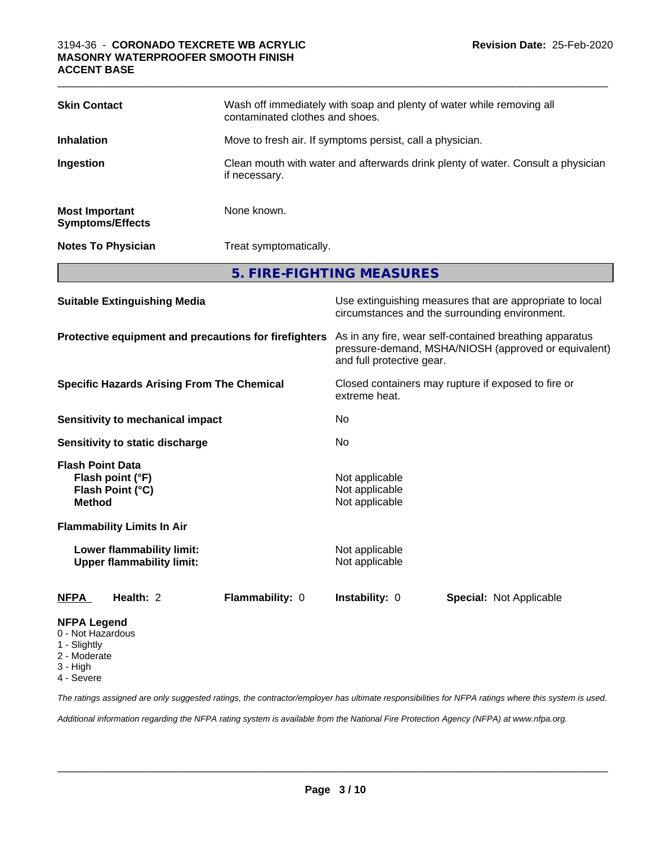| <b>Skin Contact</b>                                                              |                                                               | Wash off immediately with soap and plenty of water while removing all<br>contaminated clothes and shoes.                                     |                                  |                                                                                                            |  |
|----------------------------------------------------------------------------------|---------------------------------------------------------------|----------------------------------------------------------------------------------------------------------------------------------------------|----------------------------------|------------------------------------------------------------------------------------------------------------|--|
| <b>Inhalation</b>                                                                |                                                               | Move to fresh air. If symptoms persist, call a physician.                                                                                    |                                  |                                                                                                            |  |
| Ingestion                                                                        |                                                               | Clean mouth with water and afterwards drink plenty of water. Consult a physician<br>if necessary.                                            |                                  |                                                                                                            |  |
| <b>Most Important</b>                                                            | <b>Symptoms/Effects</b>                                       | None known.                                                                                                                                  |                                  |                                                                                                            |  |
|                                                                                  | <b>Notes To Physician</b>                                     | Treat symptomatically.                                                                                                                       |                                  |                                                                                                            |  |
|                                                                                  |                                                               |                                                                                                                                              | 5. FIRE-FIGHTING MEASURES        |                                                                                                            |  |
|                                                                                  | <b>Suitable Extinguishing Media</b>                           |                                                                                                                                              |                                  | Use extinguishing measures that are appropriate to local<br>circumstances and the surrounding environment. |  |
| Protective equipment and precautions for firefighters                            |                                                               | As in any fire, wear self-contained breathing apparatus<br>pressure-demand, MSHA/NIOSH (approved or equivalent)<br>and full protective gear. |                                  |                                                                                                            |  |
| <b>Specific Hazards Arising From The Chemical</b>                                |                                                               | Closed containers may rupture if exposed to fire or<br>extreme heat.                                                                         |                                  |                                                                                                            |  |
|                                                                                  | <b>Sensitivity to mechanical impact</b>                       |                                                                                                                                              | No                               |                                                                                                            |  |
| <b>Sensitivity to static discharge</b>                                           |                                                               | No                                                                                                                                           |                                  |                                                                                                            |  |
| <b>Flash Point Data</b><br>Flash point (°F)<br>Flash Point (°C)<br><b>Method</b> |                                                               | Not applicable<br>Not applicable<br>Not applicable                                                                                           |                                  |                                                                                                            |  |
|                                                                                  | <b>Flammability Limits In Air</b>                             |                                                                                                                                              |                                  |                                                                                                            |  |
|                                                                                  | Lower flammability limit:<br><b>Upper flammability limit:</b> |                                                                                                                                              | Not applicable<br>Not applicable |                                                                                                            |  |
| <b>NFPA</b>                                                                      | Health: 2                                                     | Flammability: 0                                                                                                                              | Instability: 0                   | Special: Not Applicable                                                                                    |  |
| <b>NFPA Legend</b><br>0 - Not Hazardous<br>1 - Slightly                          |                                                               |                                                                                                                                              |                                  |                                                                                                            |  |

 $\_$  ,  $\_$  ,  $\_$  ,  $\_$  ,  $\_$  ,  $\_$  ,  $\_$  ,  $\_$  ,  $\_$  ,  $\_$  ,  $\_$  ,  $\_$  ,  $\_$  ,  $\_$  ,  $\_$  ,  $\_$  ,  $\_$  ,  $\_$  ,  $\_$  ,  $\_$  ,  $\_$  ,  $\_$  ,  $\_$  ,  $\_$  ,  $\_$  ,  $\_$  ,  $\_$  ,  $\_$  ,  $\_$  ,  $\_$  ,  $\_$  ,  $\_$  ,  $\_$  ,  $\_$  ,  $\_$  ,  $\_$  ,  $\_$  ,

- 2 Moderate
- 
- 3 High 4 - Severe

*The ratings assigned are only suggested ratings, the contractor/employer has ultimate responsibilities for NFPA ratings where this system is used.*

*Additional information regarding the NFPA rating system is available from the National Fire Protection Agency (NFPA) at www.nfpa.org.*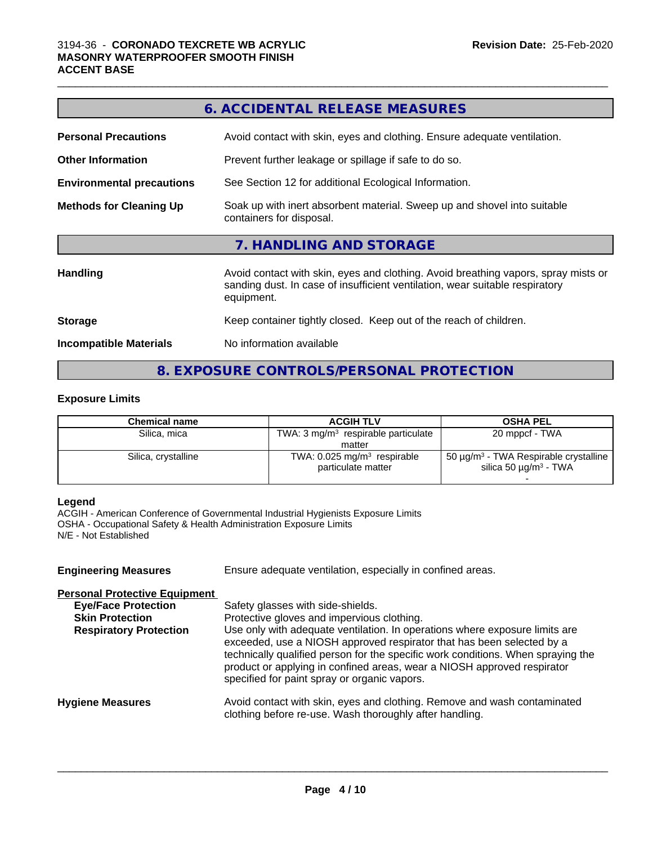|                                  | <b>6. ACCIDENTAL RELEASE MEASURES</b>                                                                                                                                            |  |  |
|----------------------------------|----------------------------------------------------------------------------------------------------------------------------------------------------------------------------------|--|--|
| <b>Personal Precautions</b>      | Avoid contact with skin, eyes and clothing. Ensure adequate ventilation.                                                                                                         |  |  |
| <b>Other Information</b>         | Prevent further leakage or spillage if safe to do so.                                                                                                                            |  |  |
| <b>Environmental precautions</b> | See Section 12 for additional Ecological Information.                                                                                                                            |  |  |
| <b>Methods for Cleaning Up</b>   | Soak up with inert absorbent material. Sweep up and shovel into suitable<br>containers for disposal.                                                                             |  |  |
|                                  | 7. HANDLING AND STORAGE                                                                                                                                                          |  |  |
| <b>Handling</b>                  | Avoid contact with skin, eyes and clothing. Avoid breathing vapors, spray mists or<br>sanding dust. In case of insufficient ventilation, wear suitable respiratory<br>equipment. |  |  |
| <b>Storage</b>                   | Keep container tightly closed. Keep out of the reach of children.                                                                                                                |  |  |
| <b>Incompatible Materials</b>    | No information available                                                                                                                                                         |  |  |

# **8. EXPOSURE CONTROLS/PERSONAL PROTECTION**

# **Exposure Limits**

| <b>Chemical name</b> | <b>ACGIH TLV</b>                                                | <b>OSHA PEL</b>                                                                                  |
|----------------------|-----------------------------------------------------------------|--------------------------------------------------------------------------------------------------|
| Silica, mica         | TWA: $3 \text{ mg/m}^3$ respirable particulate                  | 20 mppcf - TWA                                                                                   |
|                      | matter                                                          |                                                                                                  |
| Silica, crystalline  | TWA: $0.025$ mg/m <sup>3</sup> respirable<br>particulate matter | 50 $\mu$ g/m <sup>3</sup> - TWA Respirable crystalline<br>silica 50 $\mu$ g/m <sup>3</sup> - TWA |
|                      |                                                                 |                                                                                                  |

#### **Legend**

ACGIH - American Conference of Governmental Industrial Hygienists Exposure Limits OSHA - Occupational Safety & Health Administration Exposure Limits N/E - Not Established

| <b>Engineering Measures</b>                                                                                                   | Ensure adequate ventilation, especially in confined areas.                                                                                                                                                                                                                                                                                                                                                                                             |
|-------------------------------------------------------------------------------------------------------------------------------|--------------------------------------------------------------------------------------------------------------------------------------------------------------------------------------------------------------------------------------------------------------------------------------------------------------------------------------------------------------------------------------------------------------------------------------------------------|
| <b>Personal Protective Equipment</b><br><b>Eye/Face Protection</b><br><b>Skin Protection</b><br><b>Respiratory Protection</b> | Safety glasses with side-shields.<br>Protective gloves and impervious clothing.<br>Use only with adequate ventilation. In operations where exposure limits are<br>exceeded, use a NIOSH approved respirator that has been selected by a<br>technically qualified person for the specific work conditions. When spraying the<br>product or applying in confined areas, wear a NIOSH approved respirator<br>specified for paint spray or organic vapors. |
| <b>Hygiene Measures</b>                                                                                                       | Avoid contact with skin, eyes and clothing. Remove and wash contaminated<br>clothing before re-use. Wash thoroughly after handling.                                                                                                                                                                                                                                                                                                                    |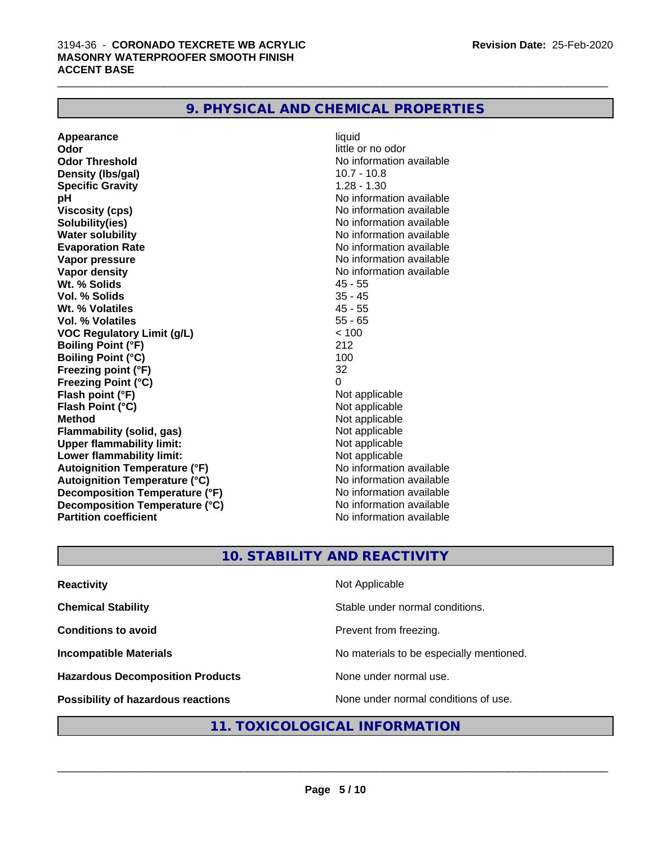| 9. PHYSICAL AND CHEMICAL PROPERTIES |  |
|-------------------------------------|--|
|-------------------------------------|--|

| Appearance                           | liquid                   |
|--------------------------------------|--------------------------|
| Odor                                 | little or no odor        |
| <b>Odor Threshold</b>                | No information available |
| Density (Ibs/gal)                    | $10.7 - 10.8$            |
| <b>Specific Gravity</b>              | $1.28 - 1.30$            |
| рH                                   | No information available |
| <b>Viscosity (cps)</b>               | No information available |
| Solubility(ies)                      | No information available |
| <b>Water solubility</b>              | No information available |
| <b>Evaporation Rate</b>              | No information available |
| Vapor pressure                       | No information available |
| Vapor density                        | No information available |
| Wt. % Solids                         | $45 - 55$                |
| Vol. % Solids                        | $35 - 45$                |
| Wt. % Volatiles                      | $45 - 55$                |
| <b>Vol. % Volatiles</b>              | $55 - 65$                |
| <b>VOC Regulatory Limit (g/L)</b>    | < 100                    |
| <b>Boiling Point (°F)</b>            | 212                      |
| <b>Boiling Point (°C)</b>            | 100                      |
| Freezing point (°F)                  | 32                       |
| <b>Freezing Point (°C)</b>           | 0                        |
| Flash point (°F)                     | Not applicable           |
| Flash Point (°C)                     | Not applicable           |
| <b>Method</b>                        | Not applicable           |
| <b>Flammability (solid, gas)</b>     | Not applicable           |
| <b>Upper flammability limit:</b>     | Not applicable           |
| Lower flammability limit:            | Not applicable           |
| <b>Autoignition Temperature (°F)</b> | No information available |
| <b>Autoignition Temperature (°C)</b> | No information available |
| Decomposition Temperature (°F)       | No information available |
| Decomposition Temperature (°C)       | No information available |
| <b>Partition coefficient</b>         | No information available |

# **10. STABILITY AND REACTIVITY**

| <b>Reactivity</b>                         | Not Applicable                           |
|-------------------------------------------|------------------------------------------|
| <b>Chemical Stability</b>                 | Stable under normal conditions.          |
| <b>Conditions to avoid</b>                | Prevent from freezing.                   |
| <b>Incompatible Materials</b>             | No materials to be especially mentioned. |
| <b>Hazardous Decomposition Products</b>   | None under normal use.                   |
| <b>Possibility of hazardous reactions</b> | None under normal conditions of use.     |

# **11. TOXICOLOGICAL INFORMATION**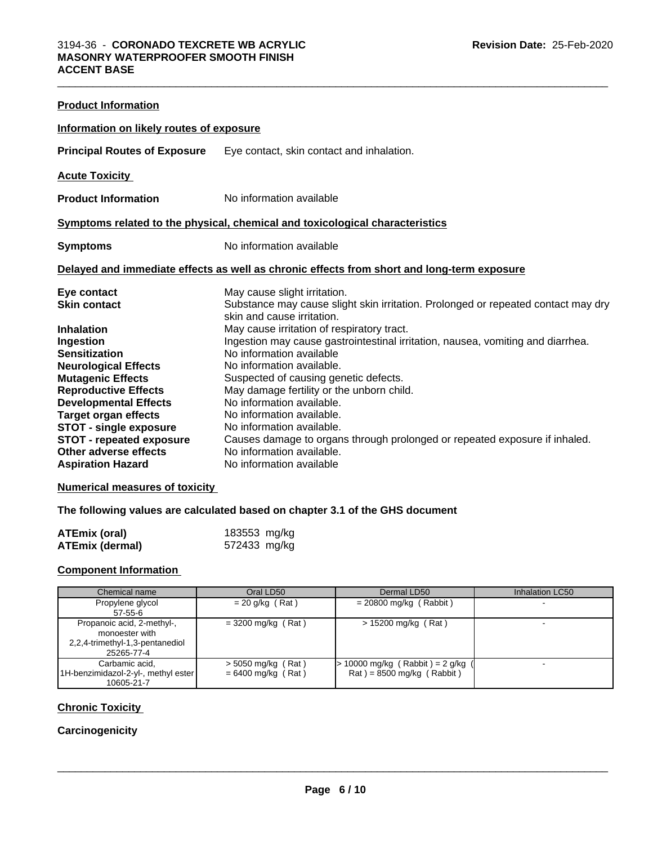| <b>Product Information</b>                                                                                                                                                                                                                                                             |                                                                                                                                                                                                                                                                                                                                                                                                                                                                                                                        |  |  |  |
|----------------------------------------------------------------------------------------------------------------------------------------------------------------------------------------------------------------------------------------------------------------------------------------|------------------------------------------------------------------------------------------------------------------------------------------------------------------------------------------------------------------------------------------------------------------------------------------------------------------------------------------------------------------------------------------------------------------------------------------------------------------------------------------------------------------------|--|--|--|
| Information on likely routes of exposure                                                                                                                                                                                                                                               |                                                                                                                                                                                                                                                                                                                                                                                                                                                                                                                        |  |  |  |
| <b>Principal Routes of Exposure</b>                                                                                                                                                                                                                                                    | Eye contact, skin contact and inhalation.                                                                                                                                                                                                                                                                                                                                                                                                                                                                              |  |  |  |
| <b>Acute Toxicity</b>                                                                                                                                                                                                                                                                  |                                                                                                                                                                                                                                                                                                                                                                                                                                                                                                                        |  |  |  |
| <b>Product Information</b>                                                                                                                                                                                                                                                             | No information available                                                                                                                                                                                                                                                                                                                                                                                                                                                                                               |  |  |  |
| Symptoms related to the physical, chemical and toxicological characteristics                                                                                                                                                                                                           |                                                                                                                                                                                                                                                                                                                                                                                                                                                                                                                        |  |  |  |
| <b>Symptoms</b>                                                                                                                                                                                                                                                                        | No information available                                                                                                                                                                                                                                                                                                                                                                                                                                                                                               |  |  |  |
|                                                                                                                                                                                                                                                                                        | Delayed and immediate effects as well as chronic effects from short and long-term exposure                                                                                                                                                                                                                                                                                                                                                                                                                             |  |  |  |
| Eye contact<br><b>Skin contact</b><br><b>Inhalation</b><br>Ingestion<br><b>Sensitization</b><br><b>Neurological Effects</b><br><b>Mutagenic Effects</b><br><b>Reproductive Effects</b><br><b>Developmental Effects</b><br><b>Target organ effects</b><br><b>STOT - single exposure</b> | May cause slight irritation.<br>Substance may cause slight skin irritation. Prolonged or repeated contact may dry<br>skin and cause irritation.<br>May cause irritation of respiratory tract.<br>Ingestion may cause gastrointestinal irritation, nausea, vomiting and diarrhea.<br>No information available<br>No information available.<br>Suspected of causing genetic defects.<br>May damage fertility or the unborn child.<br>No information available.<br>No information available.<br>No information available. |  |  |  |
| <b>STOT - repeated exposure</b><br>Other adverse effects<br><b>Aspiration Hazard</b>                                                                                                                                                                                                   | Causes damage to organs through prolonged or repeated exposure if inhaled.<br>No information available.<br>No information available                                                                                                                                                                                                                                                                                                                                                                                    |  |  |  |

 $\_$  ,  $\_$  ,  $\_$  ,  $\_$  ,  $\_$  ,  $\_$  ,  $\_$  ,  $\_$  ,  $\_$  ,  $\_$  ,  $\_$  ,  $\_$  ,  $\_$  ,  $\_$  ,  $\_$  ,  $\_$  ,  $\_$  ,  $\_$  ,  $\_$  ,  $\_$  ,  $\_$  ,  $\_$  ,  $\_$  ,  $\_$  ,  $\_$  ,  $\_$  ,  $\_$  ,  $\_$  ,  $\_$  ,  $\_$  ,  $\_$  ,  $\_$  ,  $\_$  ,  $\_$  ,  $\_$  ,  $\_$  ,  $\_$  ,

# **Numerical measures of toxicity**

# **The following values are calculated based on chapter 3.1 of the GHS document**

| ATEmix (oral)          | 183553 mg/kg |  |
|------------------------|--------------|--|
| <b>ATEmix (dermal)</b> | 572433 mg/kg |  |

# **Component Information**

| Chemical name                       | Oral LD50            | Dermal LD50                       | Inhalation LC50 |
|-------------------------------------|----------------------|-----------------------------------|-----------------|
| Propylene glycol                    | $= 20$ g/kg (Rat)    | $= 20800$ mg/kg (Rabbit)          |                 |
| $57 - 55 - 6$                       |                      |                                   |                 |
| Propanoic acid, 2-methyl-,          | $= 3200$ mg/kg (Rat) | $> 15200$ mg/kg (Rat)             |                 |
| monoester with                      |                      |                                   |                 |
| 2,2,4-trimethyl-1,3-pentanediol     |                      |                                   |                 |
| 25265-77-4                          |                      |                                   |                 |
| Carbamic acid.                      | $>$ 5050 mg/kg (Rat) | · 10000 mg/kg (Rabbit) = 2 g/kg ( |                 |
| 1H-benzimidazol-2-yl-, methyl ester | $= 6400$ mg/kg (Rat) | $Rat$ = 8500 mg/kg (Rabbit)       |                 |
| 10605-21-7                          |                      |                                   |                 |

## **Chronic Toxicity**

# **Carcinogenicity**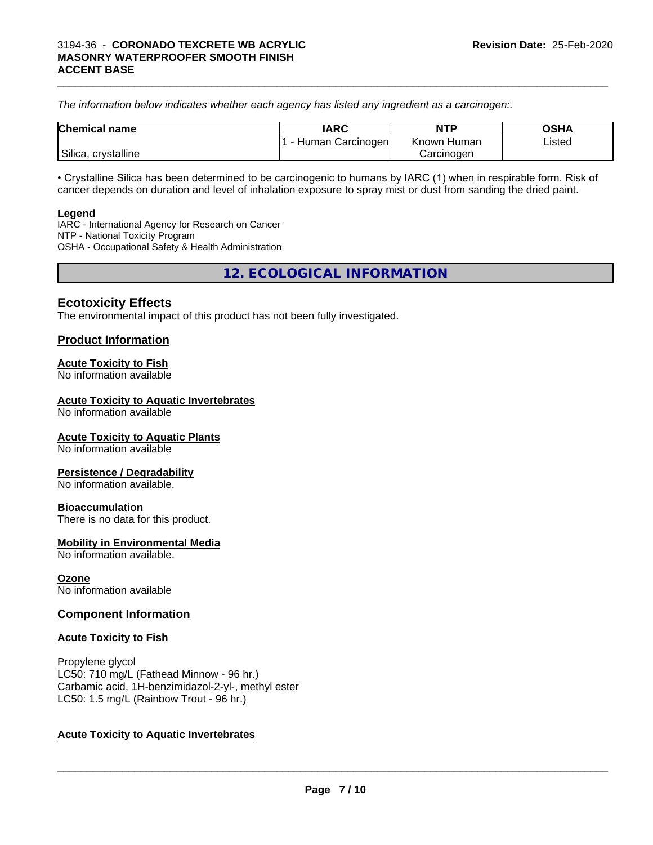*The information below indicateswhether each agency has listed any ingredient as a carcinogen:.*

| <b>Chemical name</b>                | <b>IARC</b>      | <b>NTP</b>  | <b>OSHA</b> |
|-------------------------------------|------------------|-------------|-------------|
|                                     | Human Carcinogen | Known Human | Listed      |
| <sup>'</sup> Silica,<br>crystalline |                  | Carcinoɑen  |             |

• Crystalline Silica has been determined to be carcinogenic to humans by IARC (1) when in respirable form. Risk of cancer depends on duration and level of inhalation exposure to spray mist or dust from sanding the dried paint.

#### **Legend**

IARC - International Agency for Research on Cancer NTP - National Toxicity Program OSHA - Occupational Safety & Health Administration

**12. ECOLOGICAL INFORMATION**

# **Ecotoxicity Effects**

The environmental impact of this product has not been fully investigated.

# **Product Information**

## **Acute Toxicity to Fish**

No information available

## **Acute Toxicity to Aquatic Invertebrates**

No information available

## **Acute Toxicity to Aquatic Plants**

No information available

## **Persistence / Degradability**

No information available.

## **Bioaccumulation**

There is no data for this product.

## **Mobility in Environmental Media**

No information available.

## **Ozone**

No information available

# **Component Information**

## **Acute Toxicity to Fish**

Propylene glycol LC50: 710 mg/L (Fathead Minnow - 96 hr.) Carbamic acid, 1H-benzimidazol-2-yl-, methyl ester LC50: 1.5 mg/L (Rainbow Trout - 96 hr.)

# **Acute Toxicity to Aquatic Invertebrates**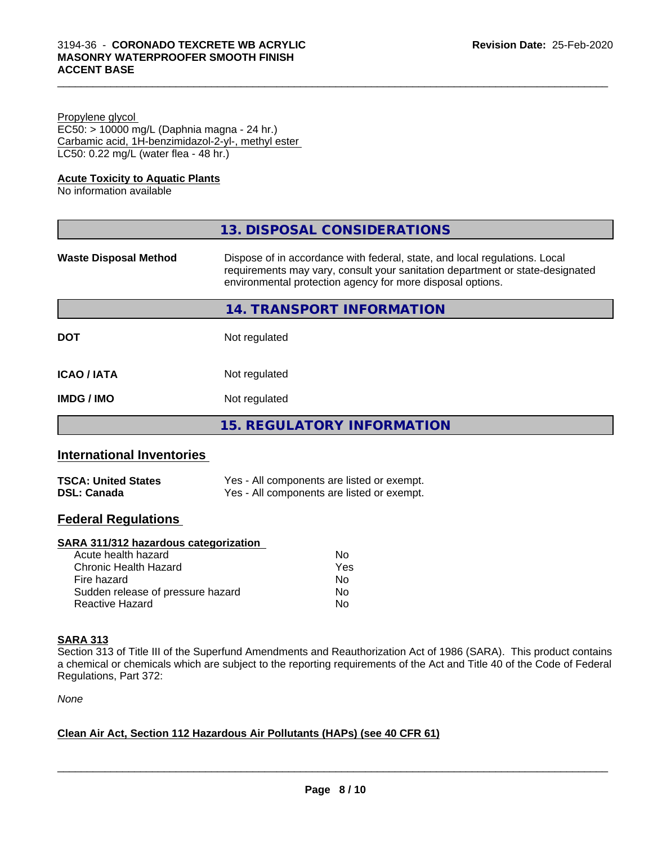| Propylene glycol                                   |  |
|----------------------------------------------------|--|
| EC50: > 10000 mg/L (Daphnia magna - 24 hr.)        |  |
| Carbamic acid, 1H-benzimidazol-2-yl-, methyl ester |  |
| LC50: 0.22 mg/L (water flea - 48 hr.)              |  |

# **Acute Toxicity to Aquatic Plants**

No information available

| 13. DISPOSAL CONSIDERATIONS                                                                                                                                                                                               |
|---------------------------------------------------------------------------------------------------------------------------------------------------------------------------------------------------------------------------|
| Dispose of in accordance with federal, state, and local regulations. Local<br>requirements may vary, consult your sanitation department or state-designated<br>environmental protection agency for more disposal options. |
| 14. TRANSPORT INFORMATION                                                                                                                                                                                                 |
| Not regulated                                                                                                                                                                                                             |
| Not regulated                                                                                                                                                                                                             |
| Not regulated                                                                                                                                                                                                             |
| <b>15. REGULATORY INFORMATION</b>                                                                                                                                                                                         |
|                                                                                                                                                                                                                           |

# **International Inventories**

| <b>TSCA: United States</b> | Yes - All components are listed or exempt. |
|----------------------------|--------------------------------------------|
| <b>DSL: Canada</b>         | Yes - All components are listed or exempt. |

# **Federal Regulations**

# **SARA 311/312 hazardous categorization**

| Acute health hazard               | No  |
|-----------------------------------|-----|
| Chronic Health Hazard             | Yes |
| Fire hazard                       | Nο  |
| Sudden release of pressure hazard | Nο  |
| Reactive Hazard                   | Nο  |

# **SARA 313**

Section 313 of Title III of the Superfund Amendments and Reauthorization Act of 1986 (SARA). This product contains a chemical or chemicals which are subject to the reporting requirements of the Act and Title 40 of the Code of Federal Regulations, Part 372:

*None*

# **Clean Air Act,Section 112 Hazardous Air Pollutants (HAPs) (see 40 CFR 61)**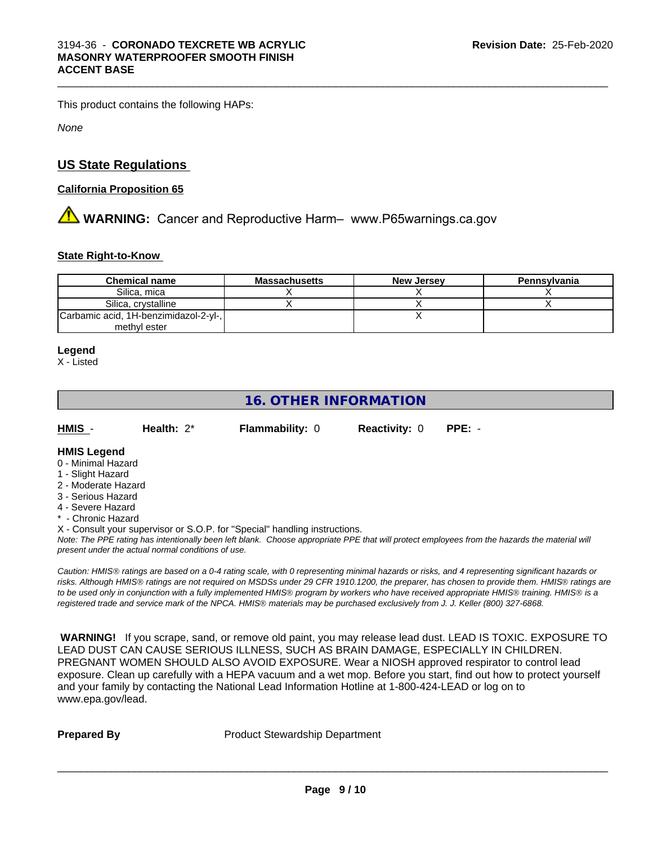This product contains the following HAPs:

*None*

# **US State Regulations**

## **California Proposition 65**

# **AVIMARNING:** Cancer and Reproductive Harm– www.P65warnings.ca.gov

# **State Right-to-Know**

| <b>Chemical name</b>                  | <b>Massachusetts</b> | <b>New Jersey</b> | Pennsylvania |
|---------------------------------------|----------------------|-------------------|--------------|
| Silica, mica                          |                      |                   |              |
| Silica, crystalline                   |                      |                   |              |
| Carbamic acid, 1H-benzimidazol-2-yl-, |                      |                   |              |
| methyl ester                          |                      |                   |              |

 $\_$  ,  $\_$  ,  $\_$  ,  $\_$  ,  $\_$  ,  $\_$  ,  $\_$  ,  $\_$  ,  $\_$  ,  $\_$  ,  $\_$  ,  $\_$  ,  $\_$  ,  $\_$  ,  $\_$  ,  $\_$  ,  $\_$  ,  $\_$  ,  $\_$  ,  $\_$  ,  $\_$  ,  $\_$  ,  $\_$  ,  $\_$  ,  $\_$  ,  $\_$  ,  $\_$  ,  $\_$  ,  $\_$  ,  $\_$  ,  $\_$  ,  $\_$  ,  $\_$  ,  $\_$  ,  $\_$  ,  $\_$  ,  $\_$  ,

#### **Legend**

X - Listed

# **16. OTHER INFORMATION**

| HMIS | Health: $2^*$ | <b>Flammability: 0</b> | <b>Reactivity: 0 PPE: -</b> |  |
|------|---------------|------------------------|-----------------------------|--|
|      |               |                        |                             |  |

# **HMIS Legend**

- 0 Minimal Hazard
- 1 Slight Hazard
- 2 Moderate Hazard
- 3 Serious Hazard
- 4 Severe Hazard
- \* Chronic Hazard
- X Consult your supervisor or S.O.P. for "Special" handling instructions.

*Note: The PPE rating has intentionally been left blank. Choose appropriate PPE that will protect employees from the hazards the material will present under the actual normal conditions of use.*

*Caution: HMISÒ ratings are based on a 0-4 rating scale, with 0 representing minimal hazards or risks, and 4 representing significant hazards or risks. Although HMISÒ ratings are not required on MSDSs under 29 CFR 1910.1200, the preparer, has chosen to provide them. HMISÒ ratings are to be used only in conjunction with a fully implemented HMISÒ program by workers who have received appropriate HMISÒ training. HMISÒ is a registered trade and service mark of the NPCA. HMISÒ materials may be purchased exclusively from J. J. Keller (800) 327-6868.*

 **WARNING!** If you scrape, sand, or remove old paint, you may release lead dust. LEAD IS TOXIC. EXPOSURE TO LEAD DUST CAN CAUSE SERIOUS ILLNESS, SUCH AS BRAIN DAMAGE, ESPECIALLY IN CHILDREN. PREGNANT WOMEN SHOULD ALSO AVOID EXPOSURE.Wear a NIOSH approved respirator to control lead exposure. Clean up carefully with a HEPA vacuum and a wet mop. Before you start, find out how to protect yourself and your family by contacting the National Lead Information Hotline at 1-800-424-LEAD or log on to www.epa.gov/lead.

**Prepared By** Product Stewardship Department